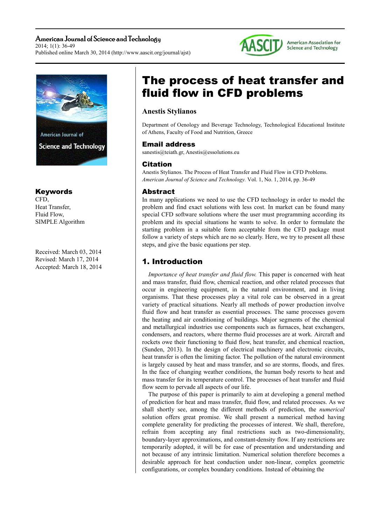#### American Journal of Science and Technology 2014; 1(1): 36-49 Published online March 30, 2014 (http://www.aascit.org/journal/ajst)



American Association for **Science and Technology** 



# Keywords

CFD, Heat Transfer, Fluid Flow, SIMPLE Algorithm

Received: March 03, 2014 Revised: March 17, 2014 Accepted: March 18, 2014

# The process of heat transfer and fluid flow in CFD problems

# **Anestis Stylianos**

Department of Oenology and Beverage Technology, Technological Educational Institute of Athens, Faculty of Food and Nutrition, Greece

### Email address

sanestis@teiath.gr, Anestis@essolutions.eu

### Citation

Anestis Stylianos. The Process of Heat Transfer and Fluid Flow in CFD Problems. *American Journal of Science and Technology.* Vol. 1, No. 1, 2014, pp. 36-49

# Abstract

In many applications we need to use the CFD technology in order to model the problem and find exact solutions with less cost. In market can be found many special CFD software solutions where the user must programming according its problem and its special situations he wants to solve. In order to formulate the starting problem in a suitable form acceptable from the CFD package must follow a variety of steps which are no so clearly. Here, we try to present all these steps, and give the basic equations per step.

# 1. Introduction

*Importance of heat transfer and fluid flow.* This paper is concerned with heat and mass transfer, fluid flow, chemical reaction, and other related processes that occur in engineering equipment, in the natural environment, and in living organisms. That these processes play a vital role can be observed in a great variety of practical situations. Nearly all methods of power production involve fluid flow and heat transfer as essential processes. The same processes govern the heating and air conditioning of buildings. Major segments of the chemical and metallurgical industries use components such as furnaces, heat exchangers, condensers, and reactors, where thermo fluid processes are at work. Aircraft and rockets owe their functioning to fluid flow, heat transfer, and chemical reaction, (Sunden, 2013). In the design of electrical machinery and electronic circuits, heat transfer is often the limiting factor. The pollution of the natural environment is largely caused by heat and mass transfer, and so are storms, floods, and fires. In the face of changing weather conditions, the human body resorts to heat and mass transfer for its temperature control. The processes of heat transfer and fluid flow seem to pervade all aspects of our life.

The purpose of this paper is primarily to aim at developing a general method of prediction for heat and mass transfer, fluid flow, and related processes. As we shall shortly see, among the different methods of prediction, the *numerical*  solution offers great promise. We shall present a numerical method having complete generality for predicting the processes of interest. We shall, therefore, refrain from accepting any final restrictions such as two-dimensionality, boundary-layer approximations, and constant-density flow. If any restrictions are temporarily adopted, it will be for ease of presentation and understanding and not because of any intrinsic limitation. Numerical solution therefore becomes a desirable approach for heat conduction under non-linear, complex geometric configurations, or complex boundary conditions. Instead of obtaining the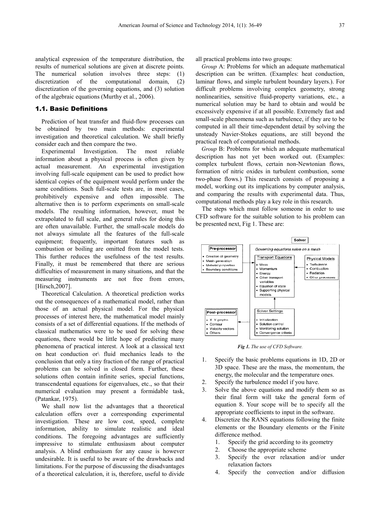analytical expression of the temperature distribution, the results of numerical solutions are given at discrete points. The numerical solution involves three steps: (1) discretization of the computational domain, (2) discretization of the governing equations, and (3) solution of the algebraic equations (Murthy et al., 2006).

#### 1.1. Basic Definitions

Prediction of heat transfer and fluid-flow processes can be obtained by two main methods: experimental investigation and theoretical calculation. We shall briefly consider each and then compare the two.

Experimental Investigation. The most reliable information about a physical process is often given by actual measurement. An experimental investigation involving full-scale equipment can be used to predict how identical copies of the equipment would perform under the same conditions. Such full-scale tests are, in most cases, prohibitively expensive and often impossible. The alternative then is to perform experiments on small-scale models. The resulting information, however, must be extrapolated to full scale, and general rules for doing this are often unavailable. Further, the small-scale models do not always simulate all the features of the full-scale equipment; frequently, important features such as combustion or boiling are omitted from the model tests. This further reduces the usefulness of the test results. Finally, it must be remembered that there are serious difficulties of measurement in many situations, and that the measuring instruments are not free from errors, [Hirsch,2007].

Theoretical Calculation. A theoretical prediction works out the consequences of a mathematical model, rather than those of an actual physical model. For the physical processes of interest here, the mathematical model mainly consists of a set of differential equations. If the methods of classical mathematics were to be used for solving these equations, there would be little hope of predicting many phenomena of practical interest. A look at a classical text on heat conduction or\ fluid mechanics leads to the conclusion that only a tiny fraction of the range of practical problems can be solved in closed form. Further, these solutions often contain infinite series, special functions, transcendental equations for eigenvalues, etc., so that their numerical evaluation may present a formidable task, (Patankar, 1975).

We shall now list the advantages that a theoretical calculation offers over a corresponding experimental investigation. These are low cost, speed, complete information, ability to simulate realistic and ideal conditions. The foregoing advantages are sufficiently impressive to stimulate enthusiasm about computer analysis. A blind enthusiasm for any cause is however undesirable. It is useful to be aware of the drawbacks and limitations. For the purpose of discussing the disadvantages of a theoretical calculation, it is, therefore, useful to divide

all practical problems into two groups:

*Group* A: Problems for which an adequate mathematical description can be written. (Examples: heat conduction, laminar flows, and simple turbulent boundary layers.). For difficult problems involving complex geometry, strong nonlinearities, sensitive fluid-property variations, etc., a numerical solution may be hard to obtain and would be excessively expensive if at all possible. Extremely fast and small-scale phenomena such as turbulence, if they are to be computed in all their time-dependent detail by solving the unsteady Navier-Stokes equations, are still beyond the practical reach of computational methods.

*Group* B: Problems for which an adequate mathematical description has not yet been worked out. (Examples: complex turbulent flows, certain non-Newtonian flows, formation of nitric oxides in turbulent combustion, some two-phase flows.) This research consists of proposing a model, working out its implications by computer analysis, and comparing the results with experimental data. Thus, computational methods play a key role in this research.

The steps which must follow someone in order to use CFD software for the suitable solution to his problem can be presented next, Fig 1. These are:



*Fig 1. The use of CFD Software.*

- 1. Specify the basic problems equations in 1D, 2D or 3D space. These are the mass, the momentum, the energy, the molecular and the temperature ones.
- 2. Specify the turbulence model if you have.
- 3. Solve the above equations and modify them so as their final form will take the general form of equation 8. Your scope will be to specify all the appropriate coefficients to input in the software.
- 4. Discretize the RANS equations following the finite elements or the Boundary elements or the Finite difference method.
	- 1. Specify the grid according to its geometry
	- 2. Choose the appropriate scheme
	- 3. Specify the over relaxation and/or under relaxation factors
	- 4. Specify the convection and/or diffusion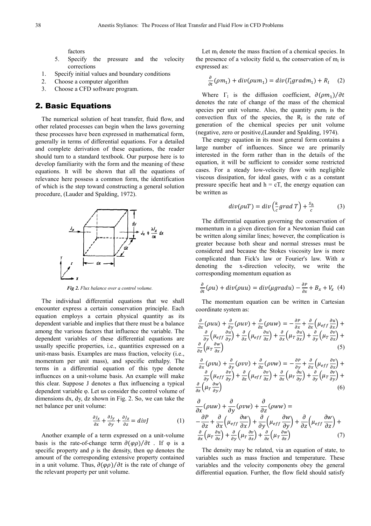factors

- 5. Specify the pressure and the velocity corrections
- 1. Specify initial values and boundary conditions
- 2. Choose a computer algorithm
- 3. Choose a CFD software program.

### 2. Basic Equations

The numerical solution of heat transfer, fluid flow, and other related processes can begin when the laws governing these processes have been expressed in mathematical form, generally in terms of differential equations. For a detailed and complete derivation of these equations, the reader should turn to a standard textbook. Our purpose here is to develop familiarity with the form and the meaning of these equations. It will be shown that all the equations of relevance here possess a common form, the identification of which is the step toward constructing a general solution procedure, (Lauder and Spalding, 1972).



*Fig 2. Flux balance over a control volume.* 

The individual differential equations that we shall encounter express a certain conservation principle. Each equation employs a certain physical quantity as its dependent variable and implies that there must be a balance among the various factors that influence the variable. The dependent variables of these differential equations are usually specific properties, i.e., quantities expressed on a unit-mass basis. Examples are mass fraction, velocity (i.e., momentum per unit mass), and specific enthalpy. The terms in a differential equation of this type denote influences on a unit-volume basis. An example will make this clear. Suppose J denotes a flux influencing a typical dependent variable φ. Let us consider the control volume of dimensions dx, dy, dz shown in Fig. 2. So, we can take the net balance per unit volume:

$$
\frac{\partial J_x}{\partial x} + \frac{\partial J_y}{\partial y} + \frac{\partial J_z}{\partial z} = divJ \tag{1}
$$

Another example of a term expressed on a unit-volume basis is the rate-of-change term  $\partial(\varphi \rho)/\partial t$ . If  $\varphi$  is a specific property and  $\rho$  is the density, then  $\varphi \rho$  denotes the amount of the corresponding extensive property contained in a unit volume. Thus,  $\frac{\partial (\varphi \rho)}{\partial t}$  is the rate of change of the relevant property per unit volume.

Let  $m<sub>l</sub>$  denote the mass fraction of a chemical species. In the presence of a velocity field u, the conservation of  $m<sub>l</sub>$  is expressed as:

$$
\frac{\partial}{\partial t}(\rho m_1) + \text{div}(\rho u m_1) = \text{div}(\Gamma_l \text{grad} m_1) + R_l \quad (2)
$$

Where  $\Gamma_1$  is the diffusion coefficient,  $\partial ( \rho m_1 ) / \partial t$ denotes the rate of change of the mass of the chemical species per unit volume. Also, the quantity  $\beta$ um<sub>l</sub> is the convection flux of the species, the  $R_1$  is the rate of generation of the chemical species per unit volume (negative, zero or positive,(Launder and Spalding, 1974).

The energy equation in its most general form contains a large number of influences. Since we are primarily interested in the form rather than in the details of the equation, it will be sufficient to consider some restricted cases. For a steady low-velocity flow with negligible viscous dissipation, for ideal gases, with c as a constant pressure specific heat and  $h = cT$ , the energy equation can be written as

$$
div(\rho uT) = div\left(\frac{k}{c}grad T\right) + \frac{S_h}{c}
$$
 (3)

The differential equation governing the conservation of momentum in a given direction for a Newtonian fluid can be written along similar lines; however, the complication is greater because both shear and normal stresses must be considered and because the Stokes viscosity law is more complicated than Fick's law or Fourier's law. With *u*  denoting the x-direction velocity, we write the corresponding momentum equation as

$$
\frac{\partial}{\partial t}(\rho u) + div(\rho u u) = div(\mu grad u) - \frac{\partial P}{\partial x} + B_x + V_x \tag{4}
$$

The momentum equation can be written in Cartesian coordinate system as:

$$
\frac{\partial}{\partial x}(\rho uu) + \frac{\partial}{\partial y}(\rho uv) + \frac{\partial}{\partial z}(\rho uw) = -\frac{\partial P}{\partial x} + \frac{\partial}{\partial x}(\mu_{eff} \frac{\partial u}{\partial x}) + \n\frac{\partial}{\partial y}(\mu_{eff} \frac{\partial u}{\partial y}) + \frac{\partial}{\partial z}(\mu_{eff} \frac{\partial u}{\partial z}) + \frac{\partial}{\partial x}(\mu_T \frac{\partial u}{\partial x}) + \frac{\partial}{\partial y}(\mu_T \frac{\partial v}{\partial x}) + \n\frac{\partial}{\partial z}(\mu_T \frac{\partial w}{\partial x})
$$
\n(5)

$$
\frac{\partial}{\partial x}(\rho vu) + \frac{\partial}{\partial y}(\rho vv) + \frac{\partial}{\partial z}(\rho vw) = -\frac{\partial P}{\partial y} + \frac{\partial}{\partial x}(\mu_{eff}\frac{\partial v}{\partial x}) + \frac{\partial}{\partial y}(\mu_{eff}\frac{\partial v}{\partial y}) + \frac{\partial}{\partial z}(\mu_{eff}\frac{\partial v}{\partial z}) + \frac{\partial}{\partial x}(\mu_T\frac{\partial u}{\partial y}) + \frac{\partial}{\partial y}(\mu_T\frac{\partial v}{\partial y}) + \frac{\partial}{\partial z}(\mu_T\frac{\partial w}{\partial y})
$$
\n(6)

$$
\frac{\partial}{\partial x}(\rho uw) + \frac{\partial}{\partial y}(\rho vw) + \frac{\partial}{\partial z}(\rho ww) = \n- \frac{\partial P}{\partial z} + \frac{\partial}{\partial x}(\mu_{eff} \frac{\partial w}{\partial x}) + \frac{\partial}{\partial y}(\mu_{eff} \frac{\partial w}{\partial y}) + \frac{\partial}{\partial z}(\mu_{eff} \frac{\partial w}{\partial z}) + \n\frac{\partial}{\partial x}(\mu_T \frac{\partial u}{\partial z}) + \frac{\partial}{\partial y}(\mu_T \frac{\partial v}{\partial z}) + \frac{\partial}{\partial z}(\mu_T \frac{\partial w}{\partial z})
$$
\n(7)

The density may be related, via an equation of state, to variables such as mass fraction and temperature. These variables and the velocity components obey the general differential equation. Further, the flow field should satisfy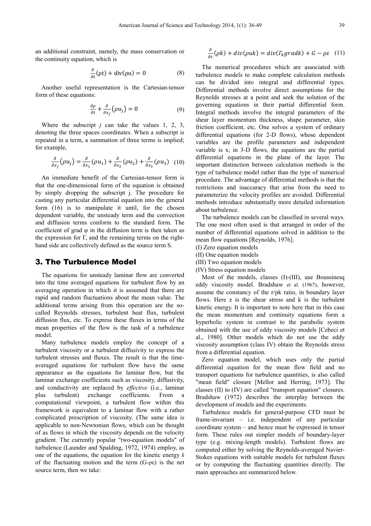an additional constraint, namely, the mass conservation or the continuity equation, which is

$$
\frac{\partial}{\partial t}(\rho t) + \text{div}(\rho u) = 0 \tag{8}
$$

Another useful representation is the Cartesian-tensor form of these equations:

$$
\frac{\partial \rho}{\partial t} + \frac{\partial}{\partial x_j} (\rho u_j) = 0 \tag{9}
$$

Where the subscript  $j$  can take the values 1, 2, 3, denoting the three spaces coordinates. When a subscript is repeated in a term, a summation of three terms is implied; for example,

$$
\frac{\partial}{\partial x_j}(\rho u_j) = \frac{\partial}{\partial x_1}(\rho u_1) + \frac{\partial}{\partial x_2}(\rho u_2) + \frac{\partial}{\partial x_3}(\rho u_3) \tag{10}
$$

An immediate benefit of the Cartesian-tensor form is that the one-dimensional form of the equation is obtained by simply dropping the subscript j. The procedure for casting any particular differential equation into the general form (16) is to manipulate it until, for the chosen dependent variable, the unsteady term and the convection and diffusion terms conform to the standard form. The coefficient of grad  $\varphi$  in the diffusion term is then taken as the expression for  $\Gamma$ , and the remaining terms on the righthand side are collectively defined as the source term S.

#### 3. The Turbulence Model

The equations for unsteady laminar flow are converted into the time averaged equations for turbulent flow by an averaging operation in which it is assumed that there are rapid and random fluctuations about the mean value. The additional terms arising from this operation are the socalled Reynolds stresses, turbulent heat flux, turbulent diffusion flux, etc. To express these fluxes in terms of the mean properties of the flow is the task of a turbulence model.

Many turbulence models employ the concept of a turbulent viscosity or a turbulent diffusivity to express the turbulent stresses and fluxes. The result is that the timeaveraged equations for turbulent flow have the same appearance as the equations for laminar flow, but the laminar exchange coefficients such as viscosity, diffusivity, and conductivity are replaced by *effective* (i.e., laminar plus turbulent) exchange coefficients. From a computational viewpoint, a turbulent flow within this framework is equivalent to a laminar flow with a rather complicated prescription of viscosity. (The same idea is applicable to non-Newtonian flows, which can be thought of as flows in which the viscosity depends on the velocity gradient. The currently popular "two-equation models" of turbulence (Launder and Spalding, 1972, 1974) employ, as one of the equations, the equation for the kinetic energy *k*  of the fluctuating motion and the term (G-ρε) is the net source term, then we take:

$$
\frac{\partial}{\partial t}(\rho k) + div(\rho u k) = div(F_k grad k) + G - \rho \varepsilon
$$
 (11)

The numerical procedures which are associated with turbulence models to make complete calculation methods can be divided into integral and differential types. Differential methods involve direct assumptions for the Reynolds stresses at a point and seek the solution of the governing equations in their partial differential form. Integral methods involve the integral parameters of the shear layer momentum thickness, shape parameter, skin friction coefficient, etc. One solves a system of ordinary differential equations (for 2-D flows), whose dependent variables are the profile parameters and independent variable is x; in 3-D flows, the equations are the partial differential equations in the plane of the layer. The important distinction between calculation methods is the type of turbulence model rather than the type of numerical procedure. The advantage of differential methods is that the restrictions and inaccuracy that arise from the need to parameterize the velocity profiles are avoided. Differential methods introduce substantially more detailed information about turbulence.

The turbulence models can be classified in several ways. The one most often used is that arranged in order of the number of differential equations solved in addition to the mean flow equations [Reynolds, 1976].

- (I) Zero equation models
- (II) One equation models
- (III) Two equation models
- (IV) Stress equation models

Most of the models, classes (I)-(III), use Boussinesq eddy viscosity model. Bradshaw et al. (1967), however, assume the constancy of the r/pk ratio, in boundary layer flows. Here z is the shear stress and k is the turbulent kinetic energy. It is important to note here that in this case the mean momentum and continuity equations form a hyperbolic system in contrast to the parabolic system obtained with the use of eddy viscosity models [Cebeci et al., 1980]. Other models which do not use the eddy viscosity assumption (class IV) obtain the Reynolds stress from a differential equation.

Zero equation model, which uses only the partial differential equation for the mean flow field and no transport equations for turbulence quantities, is also called "mean field" closure [Mellor and Herring, 1973]. The classes (II) to (IV) are called "transport equation" closures. Bradshaw (1972) describes the interplay between the development of models and the experiments.

Turbulence models for general-purpose CFD must be frame-invariant – i.e. independent of any particular coordinate system – and hence must be expressed in tensor form. These rules out simpler models of boundary-layer type (e.g. mixing-length models). Turbulent flows are computed either by solving the Reynolds-averaged Navier-Stokes equations with suitable models for turbulent fluxes or by computing the fluctuating quantities directly. The main approaches are summarized below.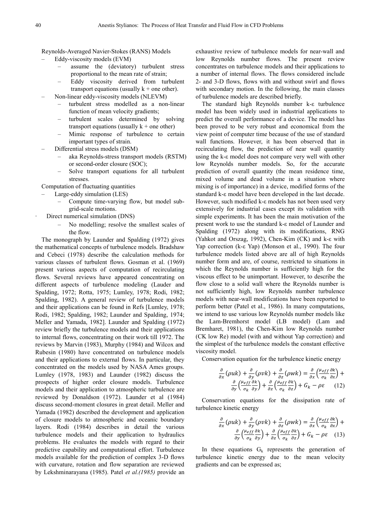Reynolds-Averaged Navier-Stokes (RANS) Models

- Eddy-viscosity models (EVM)
	- assume the (deviatory) turbulent stress proportional to the mean rate of strain;
	- Eddy viscosity derived from turbulent transport equations (usually  $k +$  one other).
	- Non-linear eddy-viscosity models (NLEVM)
	- turbulent stress modelled as a non-linear function of mean velocity gradients;
	- turbulent scales determined by solving transport equations (usually  $k +$  one other)
	- Mimic response of turbulence to certain important types of strain.
- Differential stress models (DSM)
	- aka Reynolds-stress transport models (RSTM) or second-order closure (SOC);
	- Solve transport equations for all turbulent stresses.

Computation of fluctuating quantities

- Large-eddy simulation (LES)
	- Compute time-varying flow, but model subgrid-scale motions.
- Direct numerical simulation (DNS)
	- No modelling; resolve the smallest scales of the flow.

The monograph by Launder and Spalding (1972) gives the mathematical concepts of turbulence models. Bradshaw and Cebeci (1978) describe the calculation methods for various classes of turbulent flows. Gosman et al. (1969) present various aspects of computation of recirculating flows. Several reviews have appeared concentrating on different aspects of turbulence modeling (Lauder and Spalding, 1972; Rotta, 1975; Lumley, 1978; Rodi, 1982; Spalding, 1982). A general review of turbulence models and their applications can be found in Refs [Lumley, 1978; Rodi, 1982; Spalding, 1982; Launder and Spalding, 1974; Meller and Yamada, 1982]. Launder and Spalding (1972) review briefly the turbulence models and their applications to internal flows, concentrating on their work till 1972. The reviews by Marvin (1983), Murphy (1984) and Wilcox and Rubesin (1980) have concentrated on turbulence models and their applications to external flows. In particular, they concentrated on the models used by NASA Ames groups. Lumley (1978, 1983) and Launder (1982) discuss the prospects of higher order closure models. Turbulence models and their application to atmospheric turbulence are reviewed by Donaldson (1972). Launder et al (1984) discuss second-moment closures in great detail. Meller and Yamada (1982) described the development and application of closure models to atmospheric and oceanic boundary layers. Rodi (1984) describes in detail the various turbulence models and their application to hydraulics problems. He evaluates the models with regard to their predictive capability and computational effort. Turbulence models available for the prediction of complex 3-D flows with curvature, rotation and flow separation are reviewed by Lekshminarayana (1985). Patel *et al.(1985)* provide an

exhaustive review of turbulence models for near-wall and low Reynolds number flows. The present review concentrates on turbulence models and their applications to a number of internal flows. The flows considered include 2- and 3-D flows, flows with and without swirl and flows with secondary motion. In the following, the main classes of turbulence models are described briefly.

The standard high Reynolds number k-ε turbulence model has been widely used in industrial applications to predict the overall performance of a device. The model has been proved to be very robust and economical from the view point of computer time because of the use of standard wall functions. However, it has been observed that in recirculating flow, the prediction of near wall quantity using the k-ε model does not compare very well with other low Reynolds number models. So, for the accurate prediction of overall quantity (the mean residence time, mixed volume and dead volume in a situation where mixing is of importance) in a device, modified forms of the standard k-ε model have been developed in the last decade. However, such modified k-ε models has not been used very extensively for industrial cases except its validation with simple experiments. It has been the main motivation of the present work to use the standard k-ε model of Launder and Spalding (1972) along with its modifications, RNG (Yahkot and Orszag, 1992), Chen-Kim (CK) and k-ε with Yap correction (k-ε Yap) (Monson et al., 1990). The four turbulence models listed above are all of high Reynolds number form and are, of course, restricted to situations in which the Reynolds number is sufficiently high for the viscous effect to be unimportant. However, to describe the flow close to a solid wall where the Reynolds number is not sufficiently high, low Reynolds number turbulence models with near-wall modifications have been reported to perform better (Patel et al., 1986). In many computations, we intend to use various low Reynolds number models like the Lam-Bremhorst model (LB model) (Lam and Bremharet, 1981), the Chen-Kim low Reynolds number (CK low Re) model (with and without Yap correction) and the simplest of the turbulence models the constant effective viscosity model.

Conservation equation for the turbulence kinetic energy

$$
\frac{\partial}{\partial x}(\rho u k) + \frac{\partial}{\partial y}(\rho v k) + \frac{\partial}{\partial z}(\rho w k) = \frac{\partial}{\partial x}(\frac{\mu_{eff}}{\sigma_k} \frac{\partial k}{\partial x}) + \frac{\partial}{\partial y}(\frac{\mu_{eff}}{\sigma_k} \frac{\partial k}{\partial y}) + \frac{\partial}{\partial z}(\frac{\mu_{eff}}{\sigma_k} \frac{\partial k}{\partial z}) + G_k - \rho \varepsilon \quad (12)
$$

Conservation equations for the dissipation rate of turbulence kinetic energy

$$
\frac{\partial}{\partial x}(\rho u k) + \frac{\partial}{\partial y}(\rho v k) + \frac{\partial}{\partial z}(\rho w k) = \frac{\partial}{\partial x}(\frac{\mu_{eff}}{\sigma_k} \frac{\partial k}{\partial x}) + \frac{\partial}{\partial y}(\frac{\mu_{eff}}{\sigma_k} \frac{\partial k}{\partial y}) + \frac{\partial}{\partial z}(\frac{\mu_{eff}}{\sigma_k} \frac{\partial k}{\partial z}) + G_k - \rho \varepsilon \quad (13)
$$

In these equations  $G_k$  represents the generation of turbulence kinetic energy due to the mean velocity gradients and can be expressed as;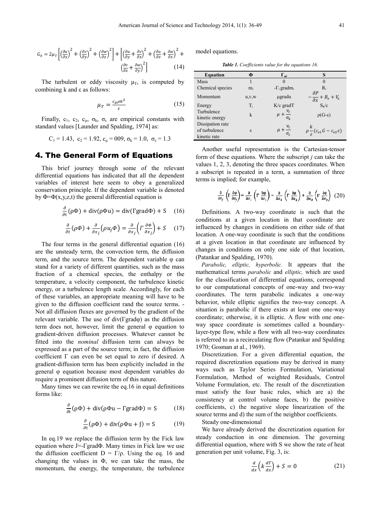$$
G_k = 2\mu_T \left[ \left( \frac{\partial u}{\partial x} \right)^2 + \left( \frac{\partial v}{\partial y} \right)^2 + \left( \frac{\partial w}{\partial z} \right)^2 \right] + \left[ \left( \frac{\partial u}{\partial y} + \frac{\partial v}{\partial x} \right)^2 + \left( \frac{\partial u}{\partial z} + \frac{\partial w}{\partial x} \right)^2 + \left( \frac{\partial v}{\partial z} + \frac{\partial w}{\partial y} \right)^2 \right]
$$
(14)

The turbulent or eddy viscosity  $\mu_T$ , is computed by combining k and ε as follows:

$$
\mu_T = \frac{c_\mu \rho k^2}{\varepsilon} \tag{15}
$$

Finally,  $c_1$ ,  $c_2$ ,  $c_\mu$ ,  $\sigma_k$ ,  $\sigma_{\varepsilon}$  are empirical constants with standard values [Launder and Spalding, 1974] as:

$$
C_1 = 1.43
$$
,  $c_2 = 1.92$ ,  $c_\mu = 009$ ,  $\sigma_k = 1.0$ ,  $\sigma_\epsilon = 1.3$ 

#### 4. The General Form of Equations

This brief journey through some of the relevant differential equations has indicated that all the dependent variables of interest here seem to obey a generalized conservation principle. If the dependent variable is denoted by  $\Phi = \Phi(x, y, z, t)$  the general differential equation is

$$
\frac{\partial}{\partial t}(\rho \Phi) + \text{div}(\rho \Phi u) = \text{div}(\text{Fgrad}\Phi) + S \quad (16)
$$

$$
\frac{\partial}{\partial t}(\rho \Phi) + \frac{\partial}{\partial x_j}(\rho u_j \Phi) = \frac{\partial}{\partial x_j} \left(\Gamma \frac{\partial \Phi}{\partial x_j}\right) + S \quad (17)
$$

The four terms in the general differential equation (16) are the unsteady term, the convection term, the diffusion term, and the source term. The dependent variable φ can stand for a variety of different quantities, such as the mass fraction of a chemical species, the enthalpy or the temperature, a velocity component, the turbulence kinetic energy, or a turbulence length scale. Accordingly, for each of these variables, an appropriate meaning will have to be given to the diffusion coefficient rand the source terms. - Not all diffusion fluxes are governed by the gradient of the relevant variable. The use of div(Γgradφ) as the diffusion term does not, however, limit the general  $\varphi$  equation to gradient-driven diffusion processes. Whatever cannot be fitted into the *nominal* diffusion term can always be expressed as a part of the source term; in fact, the diffusion coefficient Γ can even be set equal to zero if desired. A gradient-diffusion term has been explicitly included in the general φ equation because most dependent variables do require a prominent diffusion term of this nature.

Many times we can rewrite the eq.16 in equal definitions forms like:

$$
\frac{\partial}{\partial t}(\rho \Phi) + \text{div}(\rho \Phi u - \text{Fgrad} \Phi) = S \tag{18}
$$

$$
\frac{\partial}{\partial t}(\rho \Phi) + \text{div}(\rho \Phi u + J) = S \tag{19}
$$

In eq.19 we replace the diffusion term by the Fick law equation where J=-ΓgradΦ. Many times in Fick law we use the diffusion coefficient  $D = \Gamma/\rho$ . Using the eq. 16 and changing the values in Φ, we can take the mass, the momentum, the energy, the temperature, the turbulence model equations.

*Table 1. Coefficients value for the equations 16.* 

| <b>Equation</b>  | Ф           | $\Gamma_{\omega i}$            | S                                                        |
|------------------|-------------|--------------------------------|----------------------------------------------------------|
| Mass             |             | $\theta$                       | $\theta$                                                 |
| Chemical species | $m_i$       | $-\Gamma_i$ gradm <sub>i</sub> | $R_i$                                                    |
| Momentum         | u, v, w     | ugradu                         | $\partial P$<br>$+ B_x + V_x$<br>$\overline{\partial x}$ |
| Energy           | $T_i$       | $K/c$ grad $T$                 | $S_h/c$                                                  |
| Turbulence       | $\mathbf k$ | $\mu + \frac{v_t}{\sigma_k}$   | $\rho(G-\epsilon)$                                       |
| kinetic energy   |             |                                |                                                          |
| Dissipation rate |             |                                |                                                          |
| of turbulence    | ε           | $\mu + \frac{v_t}{\sigma_s}$   | $\rho \frac{k}{s} (c_{e1} G - c_{e2} \varepsilon)$       |
| kinetic rate     |             |                                |                                                          |

Another useful representation is the Cartesian-tensor form of these equations. Where the subscript *j* can take the values 1, 2, 3, denoting the three spaces coordinates. When a subscript is repeated in a term, a summation of three terms is implied; for example,

$$
\frac{\partial}{\partial x_j} \left( \Gamma \frac{\partial \phi}{\partial x_j} \right) = \frac{\partial}{\partial x_1} \left( \Gamma \frac{\partial \phi}{\partial x_1} \right) + \frac{\partial}{\partial x_2} \left( \Gamma \frac{\partial \phi}{\partial x_2} \right) + \frac{\partial}{\partial x_3} \left( \Gamma \frac{\partial \phi}{\partial x_3} \right) (20)
$$

Definitions. A two-way coordinate is such that the conditions at a given location in that coordinate are influenced by changes in conditions on either side of that location. A one-way coordinate is such that the conditions at a given location in that coordinate are influenced by changes in conditions on only one side of that location, (Patankar and Spalding, 1970).

*Parabolic, elliptic, hyperbolic.* It appears that the mathematical terms *parabolic* and *elliptic,* which are used for the classification of differential equations, correspond to our computational concepts of one-way and two-way coordinates. The term parabolic indicates a one-way behavior, while elliptic signifies the two-way concept. A situation is parabolic if there exists at least one one-way coordinate; otherwise, it is elliptic. A flow with one oneway space coordinate is sometimes called a boundarylayer-type flow, while a flow with all two-way coordinates is referred to as a recirculating flow (Patankar and Spalding 1970; Gosman at al., 1969).

Discretization. For a given differential equation, the required discretization equations may be derived in many ways such as Taylor Series Formulation, Variational Formulation, Method of weighted Residuals, Control Volume Formulation, etc. The result of the discretization must satisfy the four basic rules, which are a) the consistency at control volume faces, b) the positive coefficients, c) the negative slope linearization of the source terms and d) the sum of the neighbor coefficients.

Steady one-dimensional

We have already derived the discretization equation for steady conduction in one dimension. The governing differential equation, where with S we show the rate of heat generation per unit volume, Fig. 3, is:

$$
\frac{d}{dx}\left(k\frac{dT}{dx}\right) + S = 0\tag{21}
$$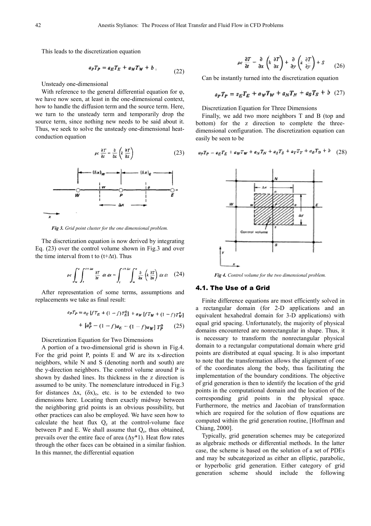This leads to the discretization equation

$$
a_P T_P = a_E T_E + a_W T_W + b \tag{22}
$$

Unsteady one-dimensional

With reference to the general differential equation for  $\varphi$ , we have now seen, at least in the one-dimensional context, how to handle the diffusion term and the source term. Here, we turn to the unsteady term and temporarily drop the source term, since nothing new needs to be said about it. Thus, we seek to solve the unsteady one-dimensional heatconduction equation



*Fig 3. Grid point cluster for the one dimensional problem.*

The discretization equation is now derived by integrating Eq. (23) over the control volume shown in Fig.3 and over the time interval from t to (t+ $\Delta t$ ). Thus

$$
\rho c \int_{w}^{e} \int_{t}^{t + \Delta t} \frac{\partial T}{\partial t} dt dx = \int_{t}^{t + \Delta t} \int_{w}^{e} \frac{\partial}{\partial x} \left( k \frac{\partial T}{\partial x} \right) dx dt \quad (24)
$$

After representation of some terms, assumptions and replacements we take as final result:

$$
a_P T_P = a_E \left[ f T_E + (1 - f) T_E^0 \right] + a_W \left[ f T_W + (1 - f) T_W^0 \right]
$$

$$
+ [a_P^0 - (1 - f)a_E - (1 - f)a_W]T_P^0 \qquad (25)
$$

Discretization Equation for Two Dimensions

A portion of a two-dimensional grid is shown in Fig.4. For the grid point P, points E and W are its x-direction neighbors, while N and S (denoting north and south) are the y-direction neighbors. The control volume around P is shown by dashed lines. Its thickness in the z direction is assumed to be unity. The nomenclature introduced in Fig.3 for distances  $\Delta x$ ,  $(\delta x)_{e}$ , etc. is to be extended to two dimensions here. Locating them exactly midway between the neighboring grid points is an obvious possibility, but other practices can also be employed. We have seen how to calculate the heat flux  $Q_e$  at the control-volume face between  $P$  and  $E$ . We shall assume that  $Q_e$ , thus obtained, prevails over the entire face of area  $(\Delta y^*1)$ . Heat flow rates through the other faces can be obtained in a similar fashion. In this manner, the differential equation

$$
\rho c \frac{\partial T}{\partial t} = \frac{\partial}{\partial x} \left( k \frac{\partial T}{\partial x} \right) + \frac{\partial}{\partial y} \left( k \frac{\partial T}{\partial y} \right) + S \qquad (26)
$$

Can be instantly turned into the discretization equation

$$
a_P T_P = a_E T_E + a_W T_W + a_N T_N + a_S T_S + b \quad (27)
$$

Discretization Equation for Three Dimensions

Finally, we add two more neighbors T and B (top and bottom) for the z direction to complete the threedimensional configuration. The discretization equation can easily be seen to be

$$
a_{P}T_{P} - a_{E}T_{E} + a_{W}T_{W} + a_{N}T_{N} + a_{S}T_{S} + a_{T}T_{T} + a_{B}T_{B} + b \quad (28)
$$



*Fig 4. Control volume for the two dimensional problem.* 

#### 4.1. The Use of a Grid

Finite difference equations are most efficiently solved in a rectangular domain (for 2-D applications and an equivalent hexahedral domain for 3-D applications) with equal grid spacing. Unfortunately, the majority of physical domains encountered are nonrectangular in shape. Thus, it is necessary to transform the nonrectangular physical domain to a rectangular computational domain where grid points are distributed at equal spacing. It is also important to note that the transformation allows the alignment of one of the coordinates along the body, thus facilitating the implementation of the boundary conditions. The objective of grid generation is then to identify the location of the grid points in the computational domain and the location of the corresponding grid points in the physical space. Furthermore, the metrics and Jacobian of transformation which are required for the solution of flow equations are computed within the grid generation routine, [Hoffman and Chiang, 2000].

Typically, grid generation schemes may be categorized as algebraic methods or differential methods. In the latter case, the scheme is based on the solution of a set of PDEs and may be subcategorized as either an elliptic, parabolic, or hyperbolic grid generation. Either category of grid generation scheme should include the following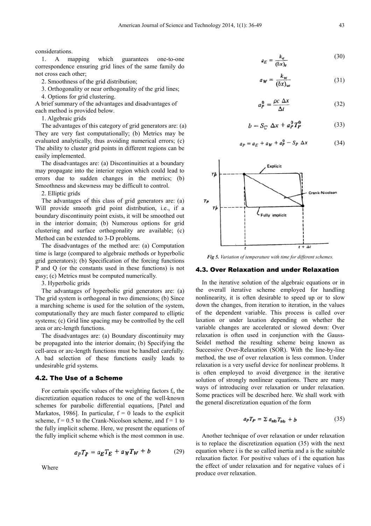considerations.

1. A mapping which guarantees one-to-one correspondence ensuring grid lines of the same family do not cross each other;

2. Smoothness of the grid distribution;

3. Orthogonality or near orthogonality of the grid lines;

4. Options for grid clustering.

A brief summary of the advantages and disadvantages of each method is provided below.

1. Algebraic grids

The advantages of this category of grid generators are: (a) They are very fast computationally; (b) Metrics may be evaluated analytically, thus avoiding numerical errors; (c) The ability to cluster grid points in different regions can be easily implemented.

The disadvantages are: (a) Discontinuities at a boundary may propagate into the interior region which could lead to errors due to sudden changes in the metrics; (b) Smoothness and skewness may be difficult to control.

2. Elliptic grids

The advantages of this class of grid generators are: (a) Will provide smooth grid point distribution, i.e., if a boundary discontinuity point exists, it will be smoothed out in the interior domain; (b) Numerous options for grid clustering and surface orthogonality are available; (c) Method can be extended to 3-D problems.

The disadvantages of the method are: (a) Computation time is large (compared to algebraic methods or hyperbolic grid generators); (b) Specification of the forcing functions P and Q (or the constants used in these functions) is not easy; (c) Metrics must be computed numerically.

3. Hyperbolic grids

The advantages of hyperbolic grid generators are: (a) The grid system is orthogonal in two dimensions; (b) Since a marching scheme is used for the solution of the system, computationally they are much faster compared to elliptic systems; (c) Grid line spacing may be controlled by the cell area or arc-length functions.

The disadvantages are: (a) Boundary discontinuity may be propagated into the interior domain; (b) Specifying the cell-area or arc-length functions must be handled carefully. A bad selection of these functions easily leads to undesirable grid systems.

#### 4.2. The Use of a Scheme

For certain specific values of the weighting factors  $f_i$ , the discretization equation reduces to one of the well-known schemes for parabolic differential equations, [Patel and Markatos, 1986]. In particular,  $f = 0$  leads to the explicit scheme,  $f = 0.5$  to the Crank-Nicolson scheme, and  $f = 1$  to the fully implicit scheme. Here, we present the equations of the fully implicit scheme which is the most common in use.

$$
a_P T_P = a_E T_E + a_W T_W + b \tag{29}
$$

Where

$$
a_E = \frac{k_e}{(\delta x)_e} \tag{30}
$$

$$
a_W = \frac{k_w}{(\delta x)_w} \tag{31}
$$

$$
a_P^0 = \frac{\rho c \, \Delta x}{\Delta t} \tag{32}
$$

$$
b = S_C \Delta x + a_P^0 T_P^0 \tag{33}
$$

$$
a_P = a_E + a_W + a_P^0 - S_P \Delta x \tag{34}
$$



*Fig 5. Variation of temperature with time for different schemes.* 

#### 4.3. Over Relaxation and under Relaxation

In the iterative solution of the algebraic equations or in the overall iterative scheme employed for handling nonlinearity, it is often desirable to speed up or to slow down the changes, from iteration to iteration, in the values of the dependent variable. This process is called over laxation or under laxation depending on whether the variable changes are accelerated or slowed down: Over relaxation is often used in conjunction with the Gauss-Seidel method the resulting scheme being known as Successive Over-Relaxation (SOR). With the line-by-line method, the use of over relaxation is less common. Under relaxation is a very useful device for nonlinear problems. It is often employed to avoid divergence in the iterative solution of strongly nonlinear equations. There are many ways of introducing over relaxation or under relaxation. Some practices will be described here. We shall work with the general discretization equation of the form

$$
a_P T_P = \Sigma a_{nb} T_{nb} + b \tag{35}
$$

Another technique of over relaxation or under relaxation is to replace the discretization equation (35) with the next equation where i is the so called inertia and a is the suitable relaxation factor. For positive values of i the equation has the effect of under relaxation and for negative values of i produce over relaxation.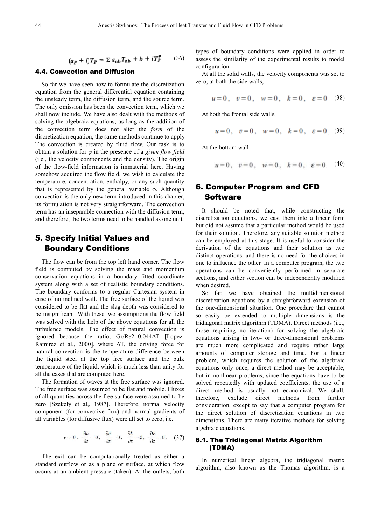$$
(a_P + i)T_P = \sum a_{\rm nb} T_{\rm nb} + b + iT_P^* \qquad (36)
$$

#### 4.4. Convection and Diffusion

So far we have seen how to formulate the discretization equation from the general differential equation containing the unsteady term, the diffusion term, and the source term. The only omission has been the convection term, which we shall now include. We have also dealt with the methods of solving the algebraic equations; as long as the addition of the convection term does not alter the *form* of the discretization equation, the same methods continue to apply. The convection is created by fluid flow. Our task is to obtain a solution for *φ* in the presence of a *given flow field*  (i.e., the velocity components and the density). The origin of the flow-field information is immaterial here. Having somehow acquired the flow field, we wish to calculate the temperature, concentration, enthalpy, or any such quantity that is represented by the general variable φ. Although convection is the only new term introduced in this chapter, its formulation is not very straightforward. The convection term has an inseparable connection with the diffusion term, and therefore, the two terms need to be handled as one unit.

# 5. Specify Initial Values and Boundary Conditions

The flow can be from the top left hand corner. The flow field is computed by solving the mass and momentum conservation equations in a boundary fitted coordinate system along with a set of realistic boundary conditions. The boundary conforms to a regular Cartesian system in case of no inclined wall. The free surface of the liquid was considered to be flat and the slag depth was considered to be insignificant. With these two assumptions the flow field was solved with the help of the above equations for all the turbulence models. The effect of natural convection is ignored because the ratio, Gr/Re2=0.044∆Τ [Lopez-Ramirez et al., 2000], where ∆T, the driving force for natural convection is the temperature difference between the liquid steel at the top free surface and the bulk temperature of the liquid, which is much less than unity for all the cases that are computed here.

The formation of waves at the free surface was ignored. The free surface was assumed to be flat and mobile. Fluxes of all quantities across the free surface were assumed to be zero [Szekely et al,, 1987]. Therefore, normal velocity component (for convective flux) and normal gradients of all variables (for diffusive flux) were all set to zero, i.e.

$$
w = 0
$$
,  $\frac{\partial u}{\partial z} = 0$ ,  $\frac{\partial v}{\partial z} = 0$ ,  $\frac{\partial k}{\partial z} = 0$ ,  $\frac{\partial \varepsilon}{\partial z} = 0$ , (37)

The exit can be computationally treated as either a standard outflow or as a plane or surface, at which flow occurs at an ambient pressure (taken). At the outlets, both

types of boundary conditions were applied in order to assess the similarity of the experimental results to model configuration.

At all the solid walls, the velocity components was set to zero, at both the side walls,

$$
u=0
$$
,  $v=0$ ,  $w=0$ ,  $k=0$ ,  $\varepsilon=0$  (38)

At both the frontal side walls,

$$
u=0
$$
,  $v=0$ ,  $w=0$ ,  $k=0$ ,  $\varepsilon=0$  (39)

At the bottom wall

$$
u=0
$$
,  $v=0$ ,  $w=0$ ,  $k=0$ ,  $\varepsilon=0$  (40)

# 6. Computer Program and CFD Software

It should be noted that, while constructing the discretization equations, we cast them into a linear form but did not assume that a particular method would be used for their solution. Therefore, any suitable solution method can be employed at this stage. It is useful to consider the derivation of the equations and their solution as two distinct operations, and there is no need for the choices in one to influence the other. In a computer program, the two operations can be conveniently performed in separate sections, and either section can be independently modified when desired.

So far, we have obtained the multidimensional discretization equations by a straightforward extension of the one-dimensional situation. One procedure that cannot so easily be extended to multiple dimensions is the tridiagonal matrix algorithm (TDMA). Direct methods (i.e., those requiring no iteration) for solving the algebraic equations arising in two- or three-dimensional problems are much more complicated and require rather large amounts of computer storage and time. For a linear problem, which requires the solution of the algebraic equations only once, a direct method may be acceptable; but in nonlinear problems, since the equations have to be solved repeatedly with updated coefficients, the use of a direct method is usually not economical. We shall, therefore, exclude direct methods from further consideration, except to say that a computer program for the direct solution of discretization equations in two dimensions. There are many iterative methods for solving algebraic equations.

#### 6.1. The Tridiagonal Matrix Algorithm (TDMA)

In numerical linear algebra, the tridiagonal matrix algorithm, also known as the Thomas algorithm, is a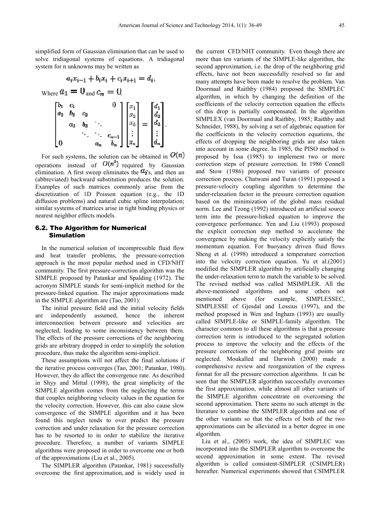simplified form of Gaussian elimination that can be used to solve tridiagonal systems of equations. A tridiagonal system for n unknowns may be written as

mplified form of Gaussian elimination that can be used to

\nolve tridiagonal systems of equations. A tridiagonal

\nsystem for n unknowns may be written as

\n
$$
a_i x_{i-1} + b_i x_i + c_i x_{i+1} = d_i,
$$
\nWhere

\n
$$
a_1 = 0 \text{ and } c_n = 0
$$
\n
$$
\begin{bmatrix}\n b_1 & c_1 & 0 \\
a_2 & b_2 & c_2 & 0 \\
a_3 & b_3 & \ddots & 0 \\
0 & a_n & b_n & \ddots & 0 \\
0 & a_n & b_n & \ddots & 0 \\
0 & a_n & b_n & \ddots & 0 \\
0 & a_n & b_n & \ddots & 0 \\
0 & a_n & b_n & \ddots & 0 \\
0 & a_n & b_n & \ddots & 0 \\
0 & a_n & b_n & \ddots & 0 \\
0 & a_n & b_n & \ddots & 0 \\
0 & a_n & b_n & \ddots & 0 \\
0 & a_n & b_n & \ddots & 0 \\
0 & a_n & b_n & \ddots & 0 \\
0 & a_n & b_n & \ddots & 0 \\
0 & a_n & b_n & \ddots & 0 \\
0 & a_n & b_n & \ddots & 0 \\
0 & a_n & b_n & \ddots & 0 \\
0 & a_n & b_n & \ddots & 0 \\
0 & a_n & b_n & \ddots & 0 \\
0 & a_n & b_n & \ddots & 0 \\
0 & a_n & b_n & \ddots & 0 \\
0 & a_n & b_n & \ddots & 0 \\
0 & a_n & b_n & \ddots & 0 \\
0 & a_n & b_n & \ddots & 0 \\
0 & a_n & b_n & \ddots & 0 \\
0 & a_n & b_n & \ddots & 0 \\
$$

For such systems, the solution can be obtained in  $O(n)$ operations instead of  $O(n^3)$  required by Gaussian elimination. A first sweep eliminates the  $u_i$ 's, and then an (abbreviated) backward substitution produces the solution. Examples of such matrices commonly arise from the discretization of 1D Poisson equation (e.g., the 1D diffusion problems) and natural cubic spline interpolation; similar systems of matrices arise in tight binding physics or nearest neighbor effects models.

#### 6.2. The Algorithm for Numerical Simulation

In the numerical solution of incompressible fluid flow In the numerical solution of incompressible fluid flow<br>and heat transfer problems, the pressure-correction approach is the most popular method used in CFD/NHT community. The first pressure-correction algorithm was the SIMPLE proposed by Patankar and Spalding (1972). The SIMPLE proposed by Patankar and Spalding (1972). The acronym SIMPLE stands for semi-implicit method for the pressure-linked equation. The major approximations made in the SIMPLE algorithm are (Tao, 2001): implicit method for the<br>pr approximations made<br>2001):<br>e initial velocity fields

The initial pressure field and the initial velocity fields are independently assumed, henc interconnection between pressure and velocities are neglected, leading to some inconsistency between them. The effects of the pressure corrections of the neighboring grids are arbitrary dropped in order to simplify the solution procedure, thus make the algorithm semi-implicit. the inherent

These assumptions will not affect the final solutions if the iterative process converges (Tao, 2001; Patankar, 1980). However, they do affect the convergence rate. As described in Shyy and Mittal (1998), the great simplicity of the SIMPLE algorithm comes from the neglecting the terms that couples neighboring velocity values in the equation for the velocity correction. However, this can also cause slow convergence of the SIMPLE algorithm and it has been found this neglect tends to over predict the pressure correction and under relaxation for the pressure correction has to be resorted to in order to stabilize the iterative procedure. Therefore, a number of variants SIMPLE algorithms were proposed in order to overcome one or both of the approximations (Liu et al., 2005).

the approximations (Liu et al., 2005).<br>The SIMPLER algorithm (Patankar, 1981) successfully overcome the first approximation, and is widely used in

the current CFD/NHT community. Even though there are more than ten variants of the SIMPLE SIMPLE-like algorithm, the second approximation, i.e. the drop of the neighboring grid effects, have not been successfully resolved so far and many attempts have been made to resolve the problem. Van Doormaal and Raithby (1984) proposed the SIMPLEC algorithm, in which by changing the definition of the coefficients of the velocity correction equation the effects of this drop is partially compensated. In the algorithm SIMPLEX (van Doormaal and Raithby, 1985; Raithby and Schneider, 1988), by solving a set of algebraic equation for the coefficients in the velocity correction equations, the effects of dropping the neighboring grids are also taken into account in some degree. In 1985, the PISO method is proposed by Issa (1985) to implement two or more correction steps of pressure correction. In 1986 Connell and Stow (1986) proposed two variants of pressure correction process. Chatwani and Turan (1991) proposed a pressure-velocity coupling algorithm to determine the pressure-velocity coupling algorithm to determine the under-relaxation factor in the pressure correction equation based on the minimization of the global mass residual norm. Lee and Tzong (1992) introduced an artificial source term into the pressure-linked equation to improve the convergence performance. Yen and Liu (1993) proposed the explicit correction step method to accelerate the convergence by making the velocity explicitly satisfy the momentum equation. For buoyancy driven fluid flows Sheng et al. (1998) introduced a temperature correction into the velocity correction equation. Yu et al.(2001) modified the SIMPLER algorithm by artificially changing the under-relaxation term to match the variable to be solved. The revised method was called MSIMPLER. All the above-mentioned algorithms and some others not mentioned above (for example, SIMPLESSEC, SIMPLESSE of Gjesdal and Lossius (1997), and the method proposed in Wen and Ingham (1993) are usually called SIMPLE-like or SIMPLE-family algorithm. The character common to all these algorithms is that a pressure correction term is introduced to the segregated solution process to improve the velocity and the effects of the pressure corrections of the neighboring grid points are neglected. Moukalled and Darwish (2000) made a comprehensive review and reorganization of the express format for all the pressure correction algorithms. It can be seen that the SIMPLER algorithm successfully overcomes the first approximation, while almost all other variants of the SIMPLE algorithm concentrate on overcoming the second approximation. There seems no such attempt in the literature to combine the SIMPLER algorithm and one of the other variants so that the effects of both of the two approximations can be alleviated in a better degree in one algorithm. linked equation to improve the<br>e. Yen and Liu (1993) proposed<br>step method to accelerate the ed the SIMPLER algorithm by artificially changing<br>ler-relaxation term to match the variable to be solved.<br>evised method was called MSIMPLER. All the<br>mentioned algorithms and some others not<br>ned above (for example, SIMPLESS ocess to improve the velocity and the effects of the essure corrections of the neighboring grid points are glected. Moukalled and Darwish (2000) made a mprehensive review and reorganization of the express rmat for all the mbine the SIMPLER algorithm and one of<br>nts so that the effects of both of the two<br>can be alleviated in a better degree in one<br>(2005) work, the idea of SIMPLEC was

Liu et al., (2005) work, the idea of SIMPLEC was incorporated into the SIMPLER algorithm to overcome the second approximation in some extent. The revised algorithm is called consistent-SIMPLER (CSIMPLER) hereafter. Numerical experiments showed that CSIMPLER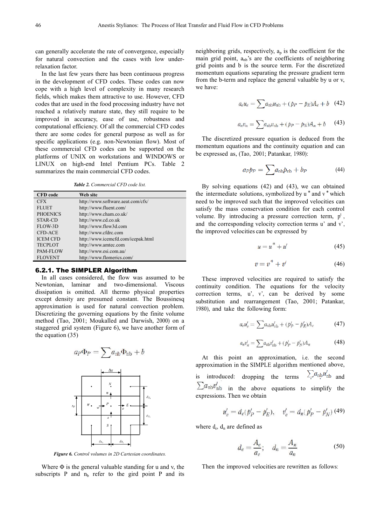can generally accelerate the rate of convergence, especially for natural convection and the cases with low underrelaxation factor.

In the last few years there has been continuous progress in the development of CFD codes. These codes can now cope with a high level of complexity in many research fields, which makes them attractive to use. However, CFD codes that are used in the food processing industry have not reached a relatively mature state, they still require to be improved in accuracy, ease of use, robustness and computational efficiency. Of all the commercial CFD codes there are some codes for general purpose as well as for specific applications (e.g. non-Newtonian flow). Most of these commercial CFD codes can be supported on the platforms of UNIX on workstations and WINDOWS or LINUX on high-end Intel Pentium PCs. Table 2 summarizes the main commercial CFD codes.

*Table 2. Commercial CFD code list.*

| <b>CFD</b> code | Web site                           |
|-----------------|------------------------------------|
| <b>CFX</b>      | http://www.software.aeat.com/cfx/  |
| <b>FLUET</b>    | http://www.fluent.com/             |
| <b>PHOENICS</b> | http://www.cham.co.uk/             |
| <b>STAR-CD</b>  | http://www.cd.co.uk                |
| FLOW-3D         | http://www.flow3d.com              |
| <b>CFD-ACE</b>  | http://www.cfdrc.com               |
| <b>ICEM CFD</b> | http://www.icemcfd.com/icepak.html |
| <b>TECPLOT</b>  | http://www.amtec.com               |
| <b>PAM-FLOW</b> | http://www.esi.com.au/             |
| <b>FLOVENT</b>  | http://www.flomerics.com/          |

#### 6.2.1. The SIMPLER Algorithm

In all cases considered, the flow was assumed to be Newtonian, laminar and two-dimensional. Viscous dissipation is omitted. All thermo physical properties except density are presumed constant. The Boussinesq approximation is used for natural convection problem. Discretizing the governing equations by the finite volume method (Tao, 2001; Moukalled and Darwish, 2000) on a staggered grid system (Figure 6), we have another form of the equation (35)



*Figure 6. Control volumes in 2D Cartesian coordinates.* 

Where  $\Phi$  is the general valuable standing for u and v, the subscripts P and  $n_b$  refer to the gird point P and its neighboring grids, respectively,  $a_p$  is the coefficient for the main grid point,  $a_{nb}$ 's are the coefficients of neighboring grid points and b is the source term. For the discretized momentum equations separating the pressure gradient term from the b-term and replace the general valuable by u or v, we have:

$$
a_{e}u_{e} = \sum a_{\rm nb}u_{\rm nb} + (p_{P} - p_{E})A_{e} + b \quad (42)
$$

$$
a_n v_n = \sum a_{\rm nb} v_{\rm nb} + (p_P - p_N) A_n + b \qquad (43)
$$

The discretized pressure equation is deduced from the momentum equations and the continuity equation and can be expressed as, (Tao, 2001; Patankar, 1980):

$$
a_p p = \sum a_{\rm nb} p_{\rm nb} + b_p \tag{44}
$$

By solving equations (42) and (43), we can obtained the intermediate solutions, symbolized by u \* and v \* which need to be improved such that the improved velocities can satisfy the mass conservation condition for each control volume. By introducing a pressure correction term,  $p^{\theta}$ , and the corresponding velocity correction terms u' and v', the improved velocities can be expressed by

$$
u = u^* + u'
$$
 (45)

$$
v = v^* + v' \tag{46}
$$

These improved velocities are required to satisfy the continuity condition. The equations for the velocity correction terms, u', v', can be derived by some substitution and rearrangement (Tao, 2001; Patankar, 1980), and take the following form:

$$
a_e u'_e = \sum a_{\rm nb} u'_{\rm nb} + (p'_P - p'_E) A_e \tag{47}
$$

$$
a_n v'_n = \sum a_{\rm nb} v'_{\rm nb} + (p'_P - p'_N) A_n \tag{48}
$$

At this point an approximation, i.e. the second approximation in the SIMPLE algorithm mentioned above, is introduced: dropping the terms  $\sum a_{nb}u'_{nb}$  and  $\sum a_{nb}v'_{nb}$  in the above equations to simplify the expressions. Then we obtain

$$
u'_{e} = d_{e}(p'_{P} - p'_{E}), \quad v'_{e} = d_{n}(p'_{P} - p'_{N})
$$
(49)

where  $d_e$ ,  $d_n$  are defined as

$$
d_e = \frac{A_e}{a_e}; \quad d_n = \frac{A_n}{a_n} \tag{50}
$$

Then the improved velocities are rewritten as follows: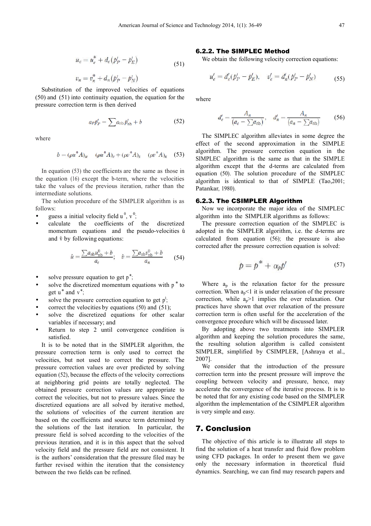$$
u_e = u_e^* + d_e (p'_P - p'_E)
$$
 (51)

$$
v_n = v_n^* + d_n (p_P' - p_N')
$$

Substitution of the improved velocities of equations (50) and (51) into continuity equation, the equation for the pressure correction term is then derived

$$
a_P p'_P = \sum a_{\rm nb} p'_{\rm nb} + b \tag{52}
$$

where

$$
b = (\rho u^* A)_w - (\rho u^* A)_e + (\rho v^* A)_s - (\rho v^* A)_n \quad (53)
$$

In equation (53) the coefficients are the same as those in the equation (16) except the b-term, where the velocities take the values of the previous iteration, rather than the intermediate solutions.

The solution procedure of the SIMPLER algorithm is as follows:

- guess a initial velocity field  $u^0$ ,  $v^0$ ;
- calculate the coefficients of the discretized momentum equations and the pseudo-velocities  $\hat{u}$ and  $\hat{v}$  by following equations:

$$
\hat{u} = \frac{\sum a_{\rm nb} u_{\rm nb}^0 + b}{a_e}; \quad \hat{v} = \frac{\sum a_{\rm nb} v_{\rm nb}^0 + b}{a_n} \qquad (54)
$$

- solve pressure equation to get  $p^*$ ;
- solve the discretized momentum equations with  $p^*$  to get u \* and v \*;
- solve the pressure correction equation to get  $p^{\theta}$ ;
- correct the velocities by equations  $(50)$  and  $(51)$ ;
- solve the discretized equations for other scalar variables if necessary; and
- Return to step 2 until convergence condition is satisfied.

It is to be noted that in the SIMPLER algorithm, the pressure correction term is only used to correct the velocities, but not used to correct the pressure. The pressure correction values are over predicted by solving equation (52), because the effects of the velocity corrections at neighboring grid points are totally neglected. The obtained pressure correction values are appropriate to correct the velocities, but not to pressure values. Since the discretized equations are all solved by iterative method, the solutions of velocities of the current iteration are based on the coefficients and source term determined by the solutions of the last iteration. In particular, the pressure field is solved according to the velocities of the previous iteration, and it is in this aspect that the solved velocity field and the pressure field are not consistent. It is the authors' consideration that the pressure filed may be further revised within the iteration that the consistency between the two fields can be refined.

#### 6.2.2. The SIMPLEC Method

We obtain the following velocity correction equations:

$$
u'_e = d'_e(p'_P - p'_E), \quad v'_e = d'_n(p'_P - p'_N)
$$
 (55)

where

$$
d'_{e} = \frac{A_n}{(a_e - \sum a_{\rm nb})}, \quad d'_n = \frac{A_n}{(a_n - \sum a_{\rm nb})}
$$
(56)

The SIMPLEC algorithm alleviates in some degree the effect of the second approximation in the SIMPLE algorithm. The pressure correction equation in the SIMPLEC algorithm is the same as that in the SIMPLE algorithm except that the d-terms are calculated from equation (50). The solution procedure of the SIMPLEC algorithm is identical to that of SIMPLE (Tao,2001; Patankar, 1980).

#### 6.2.3. The CSIMPLER Algorithm

Now we incorporate the major idea of the SIMPLEC algorithm into the SIMPLER algorithms as follows:

The pressure correction equation of the SIMPLEC is adopted in the SIMPLER algorithm, i.e. the d-terms are calculated from equation (56); the pressure is also corrected after the pressure correction equation is solved:

$$
p = p^* + \alpha_p p' \tag{57}
$$

Where  $a_p$  is the relaxation factor for the pressure correction. When  $a_n < 1$  it is under relaxation of the pressure correction, while  $a_p$ >1 implies the over relaxation. Our practices have shown that over relaxation of the pressure correction term is often useful for the acceleration of the convergence procedure which will be discussed later.

By adopting above two treatments into SIMPLER algorithm and keeping the solution procedures the same, the resulting solution algorithm is called consistent SIMPLER, simplified by CSIMPLER, [Ashraya et al., 2007].

We consider that the introduction of the pressure correction term into the present pressure will improve the coupling between velocity and pressure, hence, may accelerate the convergence of the iterative process. It is to be noted that for any existing code based on the SIMPLER algorithm the implementation of the CSIMPLER algorithm is very simple and easy.

### 7. Conclusion

The objective of this article is to illustrate all steps to find the solution of a heat transfer and fluid flow problem using CFD packages. In order to present them we gave only the necessary information in theoretical fluid dynamics. Searching, we can find may research papers and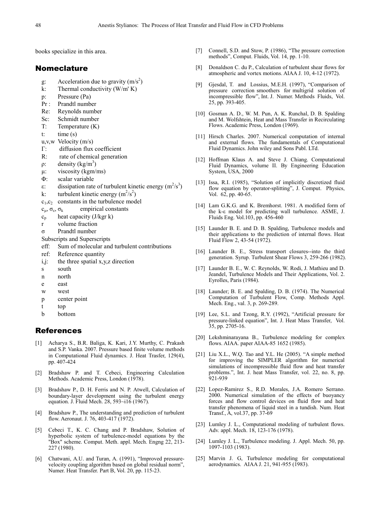books specialize in this area.

### Nomeclature

- g: Acceleration due to gravity  $(m/s^2)$
- k: Thermal conductivity (W/m' K)
- p: Pressure (Pa)
- Pr : Prandtl number
- Re: Reynolds number
- Sc: Schmidt number
- T: Temperature (K)
- t:  $time(s)$
- u,v,w Velocity (m/s)
- Γ: diffusion flux coefficient
- R: rate of chemical generation
- $ρ:$  density (kg/m<sup>3</sup>)
- µ: viscosity (kgm/ms)
- Φ: scalar variable
- ε: dissipation rate of turbulent kinetic energy  $(m^2/s^3)$
- k: turbulent kinetic energy  $(m^2/s^2)$
- $c_1, c_2$  constants in the turbulence model
- cµ, σ<sup>ε</sup> empirical constants
- $c_p$  heat capacity (J/kgr k)
- r volume fraction
- σ Prandtl number
- Subscripts and Superscripts
- eff: Sum of molecular and turbulent contributions
- ref: Reference quantity
- i,j: the three spatial x,y,z direction
- s south
- n north
- e east
- w west
- p center point
- t top
- b bottom

### References

- [1] Acharya S., B.R. Baliga, K. Kari, J.Y. Murthy, C. Prakash and S.P. Vanka. 2007. Pressure based finite volume methods in Computational Fluid dynamics. J. Heat Trasfer, 129(4), pp. 407-424
- [2] Bradshaw P. and T. Cebeci, Engineering Calculation Methods. Academic Press, London (1978).
- [3] Bradshaw P., D. H. Ferris and N. P. Atwell, Calculation of boundary-layer development using the turbulent energy equation. J. Fluid Mech. 28, 593~i16 (1967).
- [4] Bradshaw P., The understanding and prediction of turbulent flow. Aeronaut. J. 76, 403-417 (1972).
- [5] Cebeci T., K. C. Chang and P. Bradshaw, Solution of hyperbolic system of turbulence-model equations by the "Box" scheme. Comput. Meth. appl. Mech. Engng 22, 213- 227 (1980).
- [6] Chatwani, A.U. and Turan, A. (1991), "Improved pressurevelocity coupling algorithm based on global residual norm", Numer. Heat Transfer. Part B, Vol. 20, pp. 115-23.
- Connell, S.D. and Stow, P. (1986), "The pressure correction methods", Comput. Fluids, Vol. 14, pp. 1-10.
- [8] Donaldson C. du P., Calculation of turbulent shear flows for atmospheric and vortex motions. AIAA J. 10, 4-12 (1972).
- [9] Gjesdal, T. and Lossius, M.E.H. (1997), "Comparison of pressure correction smoothers for multigrid solution of incompressible flow", Int. J. Numer. Methods Fluids, Vol. 25, pp. 393-405.
- [10] Gosman A. D., W. M. Pun, A. K. Runchal, D. B. Spalding and M. Wolfshtein, Heat and Mass Transfer in Recirculating Flows. Academic Press, London (1969).
- [11] Hirsch Charles. 2007. Numerical computation of internal and external flows. The fundamentals of Computational Fluid Dynamics. John wiley and Sons Publ. LTd.
- [12] Hoffman Klaus A. and Steve J. Chiang. Computational Fluid Dynamics, volume II. By Engineering Education System, USA, 2000
- [13] Issa, R.I. (1985), "Solution of implicitly discretized fluid flow equation by operator-splitting", J. Comput. Physics, Vol. 62, pp. 40-65.
- [14] Lam G.K.G. and K. Bremhorst. 1981. A modified form of the k-ε model for predicting wall turbulence. ASME, J. Fluids Eng. Vol.103, pp. 456-460
- [15] Launder B. E. and D. B. Spalding, Turbulence models and their applications to the prediction of internal flows. Heat Fluid Flow 2, 43-54 (1972).
- [16] Launder B. E., Stress transport closures--into the third generation. Syrup. Turbulent Shear Flows 3, 259-266 (1982).
- [17] Launder B. E., W. C. Reynolds, W. Rodi, J. Mathieu and D. Jeandel, Turbulence Models and Their Applications, Vol. 2. Eyrolles, Paris (1984).
- [18] Launder; B. E. and Spalding, D. B. (1974). The Numerical Computation of Turbulent Flow, Comp. Methods Appl. Mech. Eng., val. 3, p. 269-289.
- [19] Lee, S.L. and Tzong, R.Y. (1992), "Artificial pressure for pressure-linked equation", Int. J. Heat Mass Transfer, Vol. 35, pp. 2705-16.
- [20] Lekshminarayana B., Turbulence modeling for complex flows. AIAA. paper AIAA-85 1652 (1985).
- [21] Liu X.L., W.Q. Tao and Y.L. He (2005). "A simple method for improving the SIMPLER algorithm for numerical simulations of incompressible fluid flow and heat transfer problems.", Int. J. heat Mass Transfer, vol. 22, no. 8, pp. 921-939
- [22] Lopez-Ramirez S., R.D. Morales, J.A. Romero Serrano. 2000. Numerical simulation of the effects of buoyancy forces and flow control devices on fluid flow and heat transfer phenomena of liquid steel in a tundish. Num. Heat Transf., A, vol.37, pp. 37-69
- [23] Lumley J. L., Computational modeling of turbulent flows. Adv. appl. Mech. 18, 123-176 (1978).
- [24] Lumley J. L., Turbulence modeling. J. Appl. Mech. 50, pp. 1097-1103 (1983).
- [25] Marvin J. G, Turbulence modeling for computational aerodynamics. AIAA J. 21, 941-955 (1983).